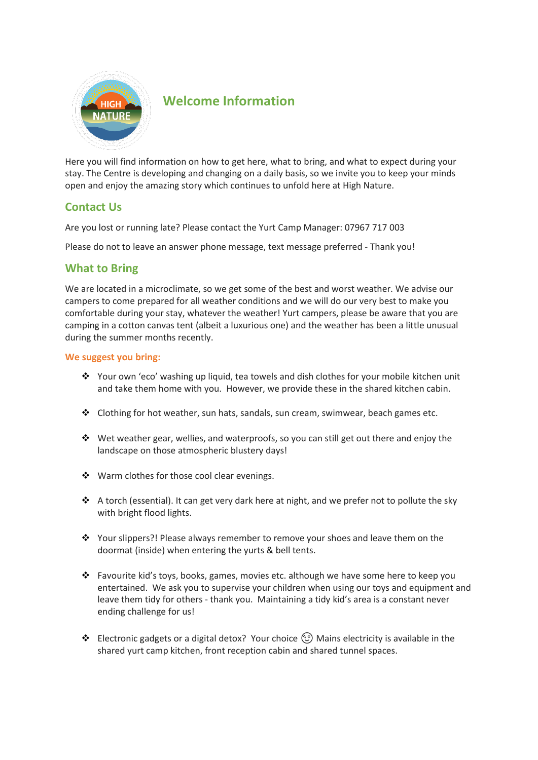

# **Welcome Information**

Here you will find information on how to get here, what to bring, and what to expect during your stay. The Centre is developing and changing on a daily basis, so we invite you to keep your minds open and enjoy the amazing story which continues to unfold here at High Nature.

## **Contact Us**

Are you lost or running late? Please contact the Yurt Camp Manager: 07967 717 003

Please do not to leave an answer phone message, text message preferred - Thank you!

### **What to Bring**

We are located in a microclimate, so we get some of the best and worst weather. We advise our campers to come prepared for all weather conditions and we will do our very best to make you comfortable during your stay, whatever the weather! Yurt campers, please be aware that you are camping in a cotton canvas tent (albeit a luxurious one) and the weather has been a little unusual during the summer months recently.

#### **We suggest you bring:**

- ❖ Your own 'eco' washing up liquid, tea towels and dish clothes for your mobile kitchen unit and take them home with you. However, we provide these in the shared kitchen cabin.
- ❖ Clothing for hot weather, sun hats, sandals, sun cream, swimwear, beach games etc.
- ❖ Wet weather gear, wellies, and waterproofs, so you can still get out there and enjoy the landscape on those atmospheric blustery days!
- ❖ Warm clothes for those cool clear evenings.
- ❖ A torch (essential). It can get very dark here at night, and we prefer not to pollute the sky with bright flood lights.
- ❖ Your slippers?! Please always remember to remove your shoes and leave them on the doormat (inside) when entering the yurts & bell tents.
- ❖ Favourite kid's toys, books, games, movies etc. although we have some here to keep you entertained. We ask you to supervise your children when using our toys and equipment and leave them tidy for others - thank you. Maintaining a tidy kid's area is a constant never ending challenge for us!
- ◆ Electronic gadgets or a digital detox? Your choice  $\mathbb{G}$  Mains electricity is available in the shared yurt camp kitchen, front reception cabin and shared tunnel spaces.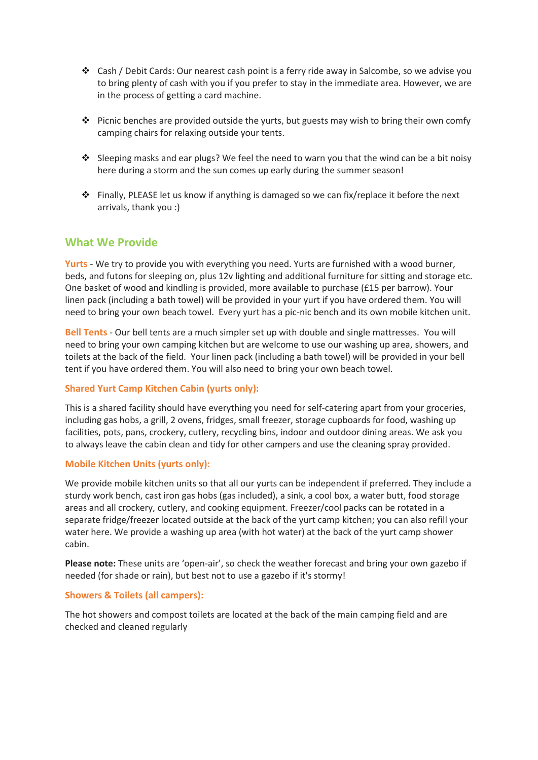- ❖ Cash / Debit Cards: Our nearest cash point is a ferry ride away in Salcombe, so we advise you to bring plenty of cash with you if you prefer to stay in the immediate area. However, we are in the process of getting a card machine.
- $\dots$  Picnic benches are provided outside the yurts, but guests may wish to bring their own comfy camping chairs for relaxing outside your tents.
- ❖ Sleeping masks and ear plugs? We feel the need to warn you that the wind can be a bit noisy here during a storm and the sun comes up early during the summer season!
- ❖ Finally, PLEASE let us know if anything is damaged so we can fix/replace it before the next arrivals, thank you :)

### **What We Provide**

**Yurts** - We try to provide you with everything you need. Yurts are furnished with a wood burner, beds, and futons for sleeping on, plus 12v lighting and additional furniture for sitting and storage etc. One basket of wood and kindling is provided, more available to purchase (£15 per barrow). Your linen pack (including a bath towel) will be provided in your yurt if you have ordered them. You will need to bring your own beach towel. Every yurt has a pic-nic bench and its own mobile kitchen unit.

**Bell Tents** - Our bell tents are a much simpler set up with double and single mattresses. You will need to bring your own camping kitchen but are welcome to use our washing up area, showers, and toilets at the back of the field. Your linen pack (including a bath towel) will be provided in your bell tent if you have ordered them. You will also need to bring your own beach towel.

#### **Shared Yurt Camp Kitchen Cabin (yurts only):**

This is a shared facility should have everything you need for self-catering apart from your groceries, including gas hobs, a grill, 2 ovens, fridges, small freezer, storage cupboards for food, washing up facilities, pots, pans, crockery, cutlery, recycling bins, indoor and outdoor dining areas. We ask you to always leave the cabin clean and tidy for other campers and use the cleaning spray provided.

#### **Mobile Kitchen Units (yurts only):**

We provide mobile kitchen units so that all our yurts can be independent if preferred. They include a sturdy work bench, cast iron gas hobs (gas included), a sink, a cool box, a water butt, food storage areas and all crockery, cutlery, and cooking equipment. Freezer/cool packs can be rotated in a separate fridge/freezer located outside at the back of the yurt camp kitchen; you can also refill your water here. We provide a washing up area (with hot water) at the back of the yurt camp shower cabin.

**Please note:** These units are 'open-air', so check the weather forecast and bring your own gazebo if needed (for shade or rain), but best not to use a gazebo if it's stormy!

#### **Showers & Toilets (all campers):**

The hot showers and compost toilets are located at the back of the main camping field and are checked and cleaned regularly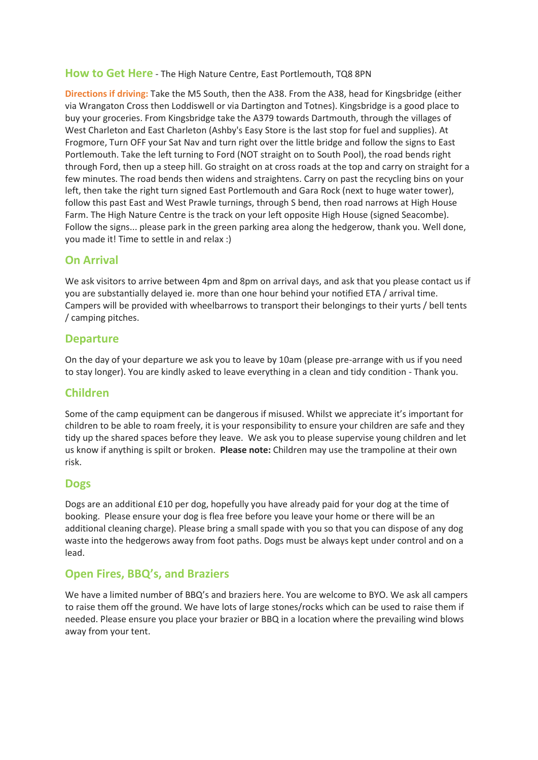#### **How to Get Here** - The High Nature Centre, East Portlemouth, TQ8 8PN

**Directions if driving:** Take the M5 South, then the A38. From the A38, head for Kingsbridge (either via Wrangaton Cross then Loddiswell or via Dartington and Totnes). Kingsbridge is a good place to buy your groceries. From Kingsbridge take the A379 towards Dartmouth, through the villages of West Charleton and East Charleton (Ashby's Easy Store is the last stop for fuel and supplies). At Frogmore, Turn OFF your Sat Nav and turn right over the little bridge and follow the signs to East Portlemouth. Take the left turning to Ford (NOT straight on to South Pool), the road bends right through Ford, then up a steep hill. Go straight on at cross roads at the top and carry on straight for a few minutes. The road bends then widens and straightens. Carry on past the recycling bins on your left, then take the right turn signed East Portlemouth and Gara Rock (next to huge water tower), follow this past East and West Prawle turnings, through S bend, then road narrows at High House Farm. The High Nature Centre is the track on your left opposite High House (signed Seacombe). Follow the signs... please park in the green parking area along the hedgerow, thank you. Well done, you made it! Time to settle in and relax :)

### **On Arrival**

We ask visitors to arrive between 4pm and 8pm on arrival days, and ask that you please contact us if you are substantially delayed ie. more than one hour behind your notified ETA / arrival time. Campers will be provided with wheelbarrows to transport their belongings to their yurts / bell tents / camping pitches.

### **Departure**

On the day of your departure we ask you to leave by 10am (please pre-arrange with us if you need to stay longer). You are kindly asked to leave everything in a clean and tidy condition - Thank you.

### **Children**

Some of the camp equipment can be dangerous if misused. Whilst we appreciate it's important for children to be able to roam freely, it is your responsibility to ensure your children are safe and they tidy up the shared spaces before they leave. We ask you to please supervise young children and let us know if anything is spilt or broken. **Please note:** Children may use the trampoline at their own risk.

#### **Dogs**

Dogs are an additional £10 per dog, hopefully you have already paid for your dog at the time of booking. Please ensure your dog is flea free before you leave your home or there will be an additional cleaning charge). Please bring a small spade with you so that you can dispose of any dog waste into the hedgerows away from foot paths. Dogs must be always kept under control and on a lead.

#### **Open Fires, BBQ's, and Braziers**

We have a limited number of BBQ's and braziers here. You are welcome to BYO. We ask all campers to raise them off the ground. We have lots of large stones/rocks which can be used to raise them if needed. Please ensure you place your brazier or BBQ in a location where the prevailing wind blows away from your tent.